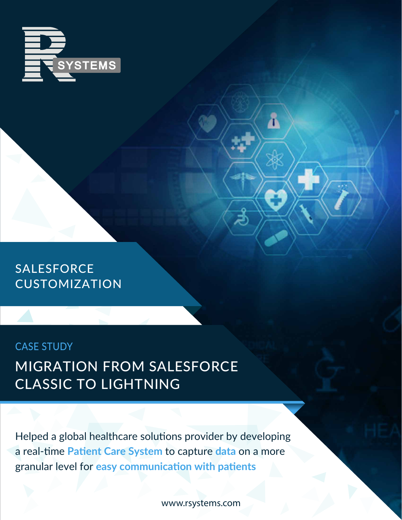

#### SALESFORCE CUSTOMIZATION

#### CASE STUDY MIGRATION FROM SALESFORCE CLASSIC TO LIGHTNING

Helped a global healthcare solutions provider by developing a real-time **Patient Care System** to capture **data** on a more granular level for **easy communication with patients**

www.rsystems.com

Ā